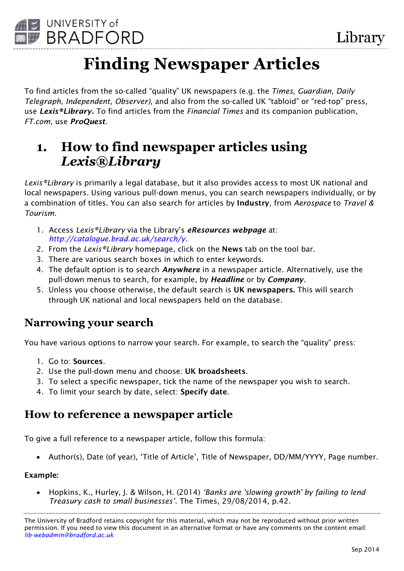

# **Finding Newspaper Articles**

To find articles from the so-called "quality" UK newspapers (e.g. the *Times, Guardian, Daily Telegraph, Independent, Observer),* and also from the so-called UK "tabloid" or "red-top" press, use *Lexis®Library.* To find articles from the *Financial Times* and its companion publication, *FT.com*, use *ProQuest*.

## **1. How to find newspaper articles using**  *Lexis®Library*

*Lexis®Library* is primarily a legal database, but it also provides access to most UK national and local newspapers. Using various pull-down menus, you can search newspapers individually, or by a combination of titles. You can also search for articles by **Industry**, from *Aerospace* to *Travel & Tourism.*

- 1. Access *Lexis®Library* via the Library's *eResources webpage* at: *<http://catalogue.brad.ac.uk/search/y>*.
- 2. From the *Lexis®Library* homepage, click on the **News** tab on the tool bar.
- 3. There are various search boxes in which to enter keywords.
- 4. The default option is to search *Anywhere* in a newspaper article. Alternatively, use the pull-down menus to search, for example, by *Headline* or by *Company.*
- 5. Unless you choose otherwise, the default search is **UK newspapers.** This will search through UK national and local newspapers held on the database.

### **Narrowing your search**

You have various options to narrow your search. For example, to search the "quality" press:

- 1. Go to: **Sources**.
- 2. Use the pull-down menu and choose: **UK broadsheets**.
- 3. To select a specific newspaper, tick the name of the newspaper you wish to search.
- 4. To limit your search by date, select: **Specify date**.

### **How to reference a newspaper article**

To give a full reference to a newspaper article, follow this formula:

• Author(s), Date (of year), 'Title of Article', Title of Newspaper, DD/MM/YYYY, Page number.

#### **Example:**

 Hopkins, K., Hurley, J. & Wilson, H. (2014) *'Banks are 'slowing growth' by failing to lend Treasury cash to small businesses'*. The Times, 29/08/2014, p.42.

The University of Bradford retains copyright for this material, which may not be reproduced without prior written permission. If you need to view this document in an alternative format or have any comments on the content email: *lib-webadmin@bradford.ac.uk*